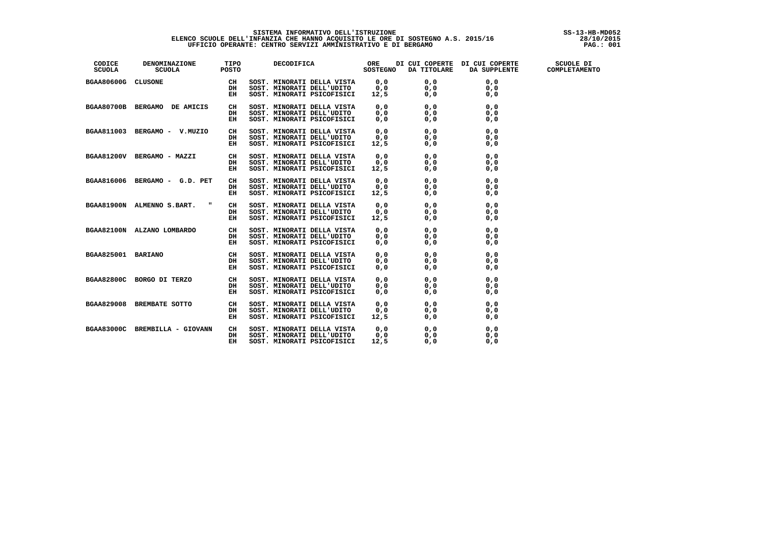## SISTEMA INFORMATIVO DELL'ISTRUZIONE<br>ELENCO SCUOLE DELL'INFANZIA CHE HANNO ACQUISITO LE ORE DI SOSTEGNO A.S. 2015/16 [10/2015]<br>100 : UFFICIO OPERANTE: CENTRO SERVIZI AMMINISTRATIVO E DI BERGAMO

| CODICE<br>SCUOLA   | DENOMINAZIONE TIPO<br>SCUOLA POSTO |    |                            |      |                                                                                                                                                                                                                                          | DECODIFICA ORE DI CUI COPERTE DI CUI COPERTE SCUOLE DI<br>SOSTEGNO DA TITOLARE DA SUPPLENTE COMPLETAMENTO |  |
|--------------------|------------------------------------|----|----------------------------|------|------------------------------------------------------------------------------------------------------------------------------------------------------------------------------------------------------------------------------------------|-----------------------------------------------------------------------------------------------------------|--|
| BGAA80600G CLUSONE |                                    |    |                            |      |                                                                                                                                                                                                                                          |                                                                                                           |  |
|                    |                                    |    |                            |      |                                                                                                                                                                                                                                          |                                                                                                           |  |
|                    |                                    |    |                            |      |                                                                                                                                                                                                                                          |                                                                                                           |  |
|                    | BGAA80700B BERGAMO DE AMICIS CH    |    |                            |      |                                                                                                                                                                                                                                          |                                                                                                           |  |
|                    |                                    | DH |                            |      |                                                                                                                                                                                                                                          |                                                                                                           |  |
|                    |                                    | EH |                            |      |                                                                                                                                                                                                                                          |                                                                                                           |  |
|                    | BGAA811003 BERGAMO - V.MUZIO CH    |    |                            |      |                                                                                                                                                                                                                                          |                                                                                                           |  |
|                    |                                    | DH |                            |      |                                                                                                                                                                                                                                          |                                                                                                           |  |
|                    |                                    | EH |                            |      | SOST. MINORATI DELLA VISTA<br>SOST. MINORATI DELL'UDITO 0,0 0,0 0,0<br>SOST. MINORATI DELL'UDITO 0,0 0,0 0,0<br>SOST. MINORATI DELLA VISTA 0,0 0,0 0,0<br>SOST. MINORATI DELLA VISTA 0,0 0,0 0,0<br>SOST. MINORATI DELL'UDITO 0,0 0,0 0, |                                                                                                           |  |
|                    | BGAA81200V BERGAMO - MAZZI CH      |    |                            |      |                                                                                                                                                                                                                                          |                                                                                                           |  |
|                    |                                    | DH |                            |      |                                                                                                                                                                                                                                          |                                                                                                           |  |
|                    |                                    | EH |                            |      |                                                                                                                                                                                                                                          |                                                                                                           |  |
|                    | BGAA816006 BERGAMO - G.D. PET      | CH |                            |      |                                                                                                                                                                                                                                          |                                                                                                           |  |
|                    |                                    | DH |                            |      |                                                                                                                                                                                                                                          |                                                                                                           |  |
|                    |                                    | EH |                            |      |                                                                                                                                                                                                                                          |                                                                                                           |  |
|                    |                                    |    |                            |      |                                                                                                                                                                                                                                          |                                                                                                           |  |
|                    |                                    |    |                            |      |                                                                                                                                                                                                                                          |                                                                                                           |  |
|                    |                                    |    |                            |      |                                                                                                                                                                                                                                          |                                                                                                           |  |
|                    |                                    |    |                            |      |                                                                                                                                                                                                                                          |                                                                                                           |  |
|                    |                                    |    |                            |      |                                                                                                                                                                                                                                          |                                                                                                           |  |
|                    |                                    |    |                            |      |                                                                                                                                                                                                                                          |                                                                                                           |  |
|                    |                                    |    |                            |      |                                                                                                                                                                                                                                          |                                                                                                           |  |
|                    |                                    |    |                            |      |                                                                                                                                                                                                                                          |                                                                                                           |  |
|                    |                                    |    |                            |      |                                                                                                                                                                                                                                          |                                                                                                           |  |
|                    |                                    |    |                            |      |                                                                                                                                                                                                                                          |                                                                                                           |  |
|                    |                                    |    |                            |      |                                                                                                                                                                                                                                          |                                                                                                           |  |
|                    |                                    |    |                            |      |                                                                                                                                                                                                                                          |                                                                                                           |  |
|                    | BGAA829008 BREMBATE SOTTO CH       |    |                            |      |                                                                                                                                                                                                                                          |                                                                                                           |  |
|                    |                                    | DH |                            |      |                                                                                                                                                                                                                                          |                                                                                                           |  |
|                    |                                    | EH |                            |      | SOST. MINORATI DELLA VISTA $0,0$ 0,0 0,0 0,0<br>SOST. MINORATI DELL'UDITO 0,0 0,0 0,0<br>SOST. MINORATI PSICOFISICI 12,5 0,0 0,0                                                                                                         |                                                                                                           |  |
|                    | BGAA83000C BREMBILLA - GIOVANN     | CH |                            |      | SOST. MINORATI DELLA VISTA $0,0$ 0,0 0,0 0,0<br>SOST. MINORATI DELL'UDITO 0,0 0,0 0,0<br>SOST. MINORATI PSICOFISICI 12.5 0.0 0.0                                                                                                         |                                                                                                           |  |
|                    |                                    | DH |                            |      |                                                                                                                                                                                                                                          |                                                                                                           |  |
|                    |                                    | EH | SOST. MINORATI PSICOFISICI | 12,5 | 0.0                                                                                                                                                                                                                                      | 0.0                                                                                                       |  |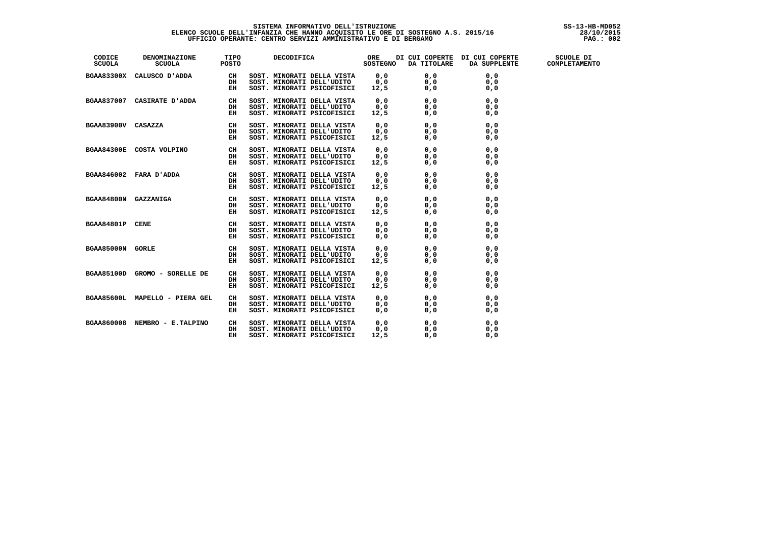### **SISTEMA INFORMATIVO DELL'ISTRUZIONE SS-13-HB-MD052 ELENCO SCUOLE DELL'INFANZIA CHE HANNO ACQUISITO LE ORE DI SOSTEGNO A.S. 2015/16 28/10/2015 UFFICIO OPERANTE: CENTRO SERVIZI AMMINISTRATIVO E DI BERGAMO PAG.: 002**

| CODICE<br>SCUOLA | <b>NOMINAZIONE TIPO<br/>SCUOLA POSTO</b><br>DENOMINAZIONE |    | DECODIFICA ORE DI CUI COPERTE DI CUI COPERTE SCUOLE DI SOSTEGNO DA TITOLARE DA SUPPLENTE COMPLETAMENTO                                                                      |  |  |
|------------------|-----------------------------------------------------------|----|-----------------------------------------------------------------------------------------------------------------------------------------------------------------------------|--|--|
|                  |                                                           |    |                                                                                                                                                                             |  |  |
|                  |                                                           |    |                                                                                                                                                                             |  |  |
|                  |                                                           |    | 0,0 0,0 0,0 ADDA CALUSCO D'ADDA CH SOST. NINORATI DELLA VISTA 0,0<br>0,0 0,0 0,0 0,0 DH SOST. NINORATI DELL'UDITO 0,0<br>0,0 0,0 0,0 0,0 DH SOST. NINORATI PSICOFISICI 12,5 |  |  |
|                  |                                                           |    |                                                                                                                                                                             |  |  |
|                  |                                                           |    |                                                                                                                                                                             |  |  |
|                  |                                                           |    |                                                                                                                                                                             |  |  |
|                  |                                                           |    |                                                                                                                                                                             |  |  |
|                  |                                                           |    |                                                                                                                                                                             |  |  |
|                  |                                                           |    |                                                                                                                                                                             |  |  |
|                  |                                                           |    |                                                                                                                                                                             |  |  |
|                  |                                                           |    |                                                                                                                                                                             |  |  |
|                  |                                                           |    |                                                                                                                                                                             |  |  |
|                  |                                                           |    |                                                                                                                                                                             |  |  |
|                  |                                                           |    |                                                                                                                                                                             |  |  |
|                  |                                                           |    |                                                                                                                                                                             |  |  |
|                  |                                                           |    |                                                                                                                                                                             |  |  |
|                  |                                                           |    |                                                                                                                                                                             |  |  |
|                  |                                                           |    |                                                                                                                                                                             |  |  |
|                  |                                                           |    |                                                                                                                                                                             |  |  |
|                  |                                                           |    |                                                                                                                                                                             |  |  |
|                  |                                                           |    |                                                                                                                                                                             |  |  |
|                  |                                                           |    |                                                                                                                                                                             |  |  |
|                  |                                                           |    |                                                                                                                                                                             |  |  |
|                  |                                                           |    |                                                                                                                                                                             |  |  |
|                  |                                                           |    |                                                                                                                                                                             |  |  |
|                  |                                                           |    |                                                                                                                                                                             |  |  |
|                  |                                                           |    |                                                                                                                                                                             |  |  |
|                  |                                                           |    |                                                                                                                                                                             |  |  |
|                  |                                                           |    |                                                                                                                                                                             |  |  |
|                  |                                                           |    |                                                                                                                                                                             |  |  |
|                  | BGAA860008 NEMBRO - E.TALPINO                             | CH | SOST. MINORATI DELLA VISTA $0,0$ 0,0 0,0 0,0<br>SOST. MINORATI DELL'UDITO 0,0 0,0 0,0<br>SOST. MINORATI PSICOFISICI 12,5 0,0 0,0                                            |  |  |
|                  |                                                           | DH |                                                                                                                                                                             |  |  |
|                  |                                                           | EH |                                                                                                                                                                             |  |  |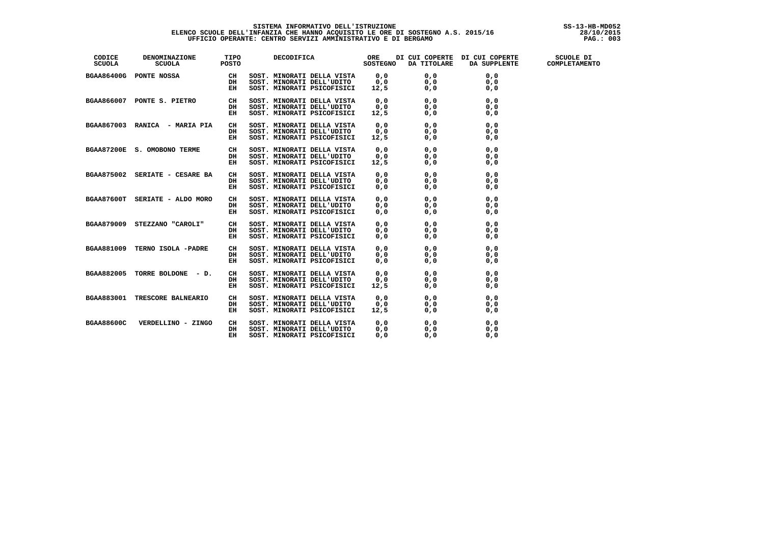### **SISTEMA INFORMATIVO DELL'ISTRUZIONE SS-13-HB-MD052 ELENCO SCUOLE DELL'INFANZIA CHE HANNO ACQUISITO LE ORE DI SOSTEGNO A.S. 2015/16 28/10/2015 UFFICIO OPERANTE: CENTRO SERVIZI AMMINISTRATIVO E DI BERGAMO PAG.: 003**

| CODICE<br>SCUOLA | <b>DENOMINAZIONE TIPO<br/>SCUOLA POSTO</b> |    | DECODIFICA ORE DI CUI COPERTE DI CUI COPERTE SCUOLE DI SOSTEGNO DA TITOLARE DA SUPPLENTE COMPLETAMENTO                           |     |     |     |  |
|------------------|--------------------------------------------|----|----------------------------------------------------------------------------------------------------------------------------------|-----|-----|-----|--|
|                  |                                            |    |                                                                                                                                  |     |     |     |  |
|                  |                                            |    |                                                                                                                                  |     |     |     |  |
|                  |                                            |    |                                                                                                                                  |     |     |     |  |
|                  | BGAA866007 PONTE S. PIETRO CH              |    |                                                                                                                                  |     |     |     |  |
|                  |                                            | DH |                                                                                                                                  |     |     |     |  |
|                  |                                            | EH | SOST. MINORATI DELLA VISTA $0,0$ 0,0 0,0 0,0<br>SOST. MINORATI DELL'UDITO 0,0 0,0 0,0<br>SOST. MINORATI PSICOFISICI 12,5 0,0 0,0 |     |     |     |  |
|                  |                                            |    |                                                                                                                                  |     |     |     |  |
|                  |                                            |    |                                                                                                                                  |     |     |     |  |
|                  |                                            |    |                                                                                                                                  |     |     |     |  |
|                  | BGAA87200E S. OMOBONO TERME CH             |    |                                                                                                                                  |     |     |     |  |
|                  |                                            | DH |                                                                                                                                  |     |     |     |  |
|                  |                                            | EH |                                                                                                                                  |     |     |     |  |
|                  | BGAA875002 SERIATE - CESARE BA             | CH |                                                                                                                                  |     |     |     |  |
|                  |                                            | DH |                                                                                                                                  |     |     |     |  |
|                  |                                            | EH |                                                                                                                                  |     |     |     |  |
|                  |                                            |    |                                                                                                                                  |     |     |     |  |
|                  |                                            |    |                                                                                                                                  |     |     |     |  |
|                  |                                            |    |                                                                                                                                  |     |     |     |  |
|                  |                                            |    |                                                                                                                                  |     |     |     |  |
|                  |                                            |    |                                                                                                                                  |     |     |     |  |
|                  |                                            |    |                                                                                                                                  |     |     |     |  |
|                  |                                            |    |                                                                                                                                  |     |     |     |  |
|                  |                                            |    |                                                                                                                                  |     |     |     |  |
|                  |                                            |    |                                                                                                                                  |     |     |     |  |
|                  |                                            |    |                                                                                                                                  |     |     |     |  |
|                  |                                            |    |                                                                                                                                  |     |     |     |  |
|                  |                                            |    |                                                                                                                                  |     |     |     |  |
|                  | BGAA883001 TRESCORE BALNEARIO              | CH |                                                                                                                                  |     |     |     |  |
|                  |                                            | DH |                                                                                                                                  |     |     |     |  |
|                  |                                            | EH | SOST. MINORATI DELLA VISTA $0,0$ 0,0 0,0 0,0<br>SOST. MINORATI DELL'UDITO 0,0 0,0 0,0<br>SOST. MINORATI PSICOFISICI 12,5 0,0 0,0 |     |     |     |  |
|                  | BGAA88600C VERDELLINO - ZINGO              | CH | SOST. MINORATI DELLA VISTA $0,0$ 0,0 0,0 0,0<br>SOST. MINORATI DELL'UDITO 0,0 0,0 0,0<br>SOST. MINORATI PSICOFISICI 0.0 0.0 0.0  |     |     |     |  |
|                  |                                            | DH |                                                                                                                                  |     |     |     |  |
|                  |                                            | EH | SOST. MINORATI PSICOFISICI                                                                                                       | 0.0 | 0.0 | 0.0 |  |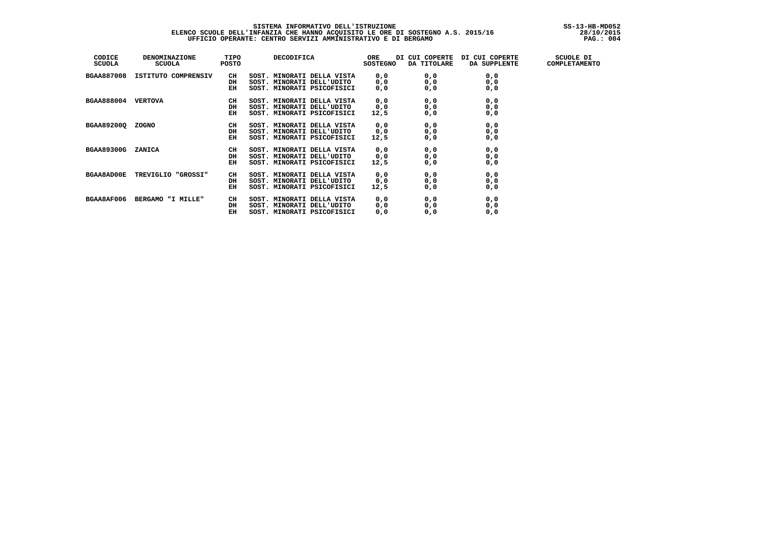# SISTEMA INFORMATIVO DELL'ISTRUZIONE<br>ELENCO SCUOLE DELL'INFANZIA CHE HANNO ACQUISITO LE ORE DI SOSTEGNO A.S. 2015/16 [10/2015]<br>DEFICIO OPERANTE: CENTRO SERVIZI AMMINISTRATIVO E DI BERGAMO

| CODICE<br><b>SCUOLA</b> | <b>DENOMINAZIONE</b><br><b>SCUOLA</b> | TIPO<br>POSTO | DECODIFICA                 | ORE<br><b>SOSTEGNO</b> | DI CUI COPERTE<br>DA TITOLARE | DI CUI COPERTE<br>DA SUPPLENTE | SCUOLE DI<br>COMPLETAMENTO |
|-------------------------|---------------------------------------|---------------|----------------------------|------------------------|-------------------------------|--------------------------------|----------------------------|
| <b>BGAA887008</b>       | ISTITUTO COMPRENSIV                   | CH            | SOST. MINORATI DELLA VISTA | 0, 0                   | 0, 0                          | 0, 0                           |                            |
|                         |                                       | DH            | SOST. MINORATI DELL'UDITO  | 0, 0                   | 0, 0                          | 0, 0                           |                            |
|                         |                                       | EH            | SOST. MINORATI PSICOFISICI | 0, 0                   | 0, 0                          | 0, 0                           |                            |
| <b>BGAA888004</b>       | <b>VERTOVA</b>                        | CH            | SOST. MINORATI DELLA VISTA | 0, 0                   | 0, 0                          | 0, 0                           |                            |
|                         |                                       | DH            | SOST. MINORATI DELL'UDITO  | 0, 0                   | 0, 0                          | 0, 0                           |                            |
|                         |                                       | EH            | SOST. MINORATI PSICOFISICI | 12,5                   | 0, 0                          | 0, 0                           |                            |
| BGAA89200Q ZOGNO        |                                       | CH            | SOST. MINORATI DELLA VISTA | 0, 0                   | 0, 0                          | 0, 0                           |                            |
|                         |                                       | DH            | SOST. MINORATI DELL'UDITO  | 0, 0                   | 0, 0                          | 0, 0                           |                            |
|                         |                                       | EH            | SOST. MINORATI PSICOFISICI | 12,5                   | 0, 0                          | 0, 0                           |                            |
| <b>BGAA89300G</b>       | <b>ZANICA</b>                         | CH            | SOST. MINORATI DELLA VISTA | 0, 0                   | 0, 0                          | 0, 0                           |                            |
|                         |                                       | DH            | SOST. MINORATI DELL'UDITO  | 0, 0                   | 0,0                           | 0, 0                           |                            |
|                         |                                       | EH            | SOST. MINORATI PSICOFISICI | 12,5                   | 0, 0                          | 0, 0                           |                            |
| <b>BGAA8AD00E</b>       | TREVIGLIO "GROSSI"                    | CH            | SOST. MINORATI DELLA VISTA | 0, 0                   | 0, 0                          | 0, 0                           |                            |
|                         |                                       | DH            | SOST. MINORATI DELL'UDITO  | 0, 0                   | 0, 0                          | 0, 0                           |                            |
|                         |                                       | EH            | SOST. MINORATI PSICOFISICI | 12,5                   | 0, 0                          | 0, 0                           |                            |
| BGAA8AF006              | BERGAMO "I MILLE"                     | CH            | SOST. MINORATI DELLA VISTA | 0, 0                   | 0,0                           | 0, 0                           |                            |
|                         |                                       | DH            | SOST. MINORATI DELL'UDITO  | 0, 0                   | 0,0                           | 0, 0                           |                            |
|                         |                                       | EН            | SOST. MINORATI PSICOFISICI | 0, 0                   | 0, 0                          | 0, 0                           |                            |